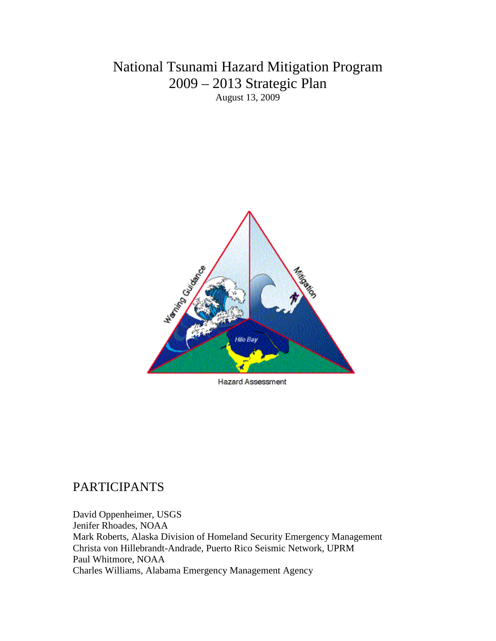## National Tsunami Hazard Mitigation Program 2009 – 2013 Strategic Plan August 13, 2009



Hazard Assessment

### PARTICIPANTS

David Oppenheimer, USGS Jenifer Rhoades, NOAA Mark Roberts, Alaska Division of Homeland Security Emergency Management Christa von Hillebrandt-Andrade, Puerto Rico Seismic Network, UPRM Paul Whitmore, NOAA Charles Williams, Alabama Emergency Management Agency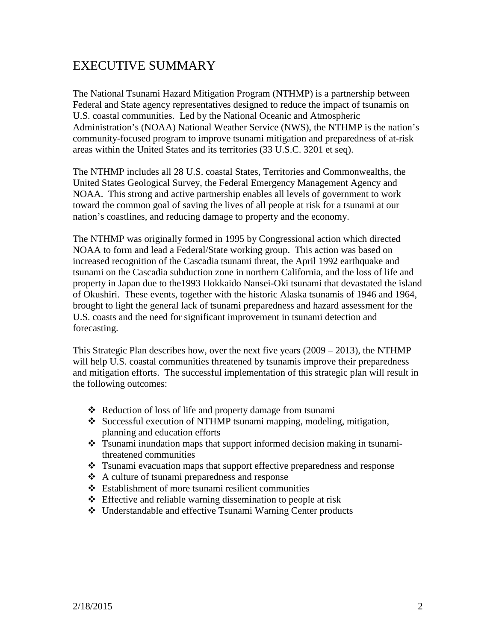# EXECUTIVE SUMMARY

The National Tsunami Hazard Mitigation Program (NTHMP) is a partnership between Federal and State agency representatives designed to reduce the impact of tsunamis on U.S. coastal communities. Led by the National Oceanic and Atmospheric Administration's (NOAA) National Weather Service (NWS), the NTHMP is the nation's community-focused program to improve tsunami mitigation and preparedness of at-risk areas within the United States and its territories (33 U.S.C. 3201 et seq).

The NTHMP includes all 28 U.S. coastal States, Territories and Commonwealths, the United States Geological Survey, the Federal Emergency Management Agency and NOAA. This strong and active partnership enables all levels of government to work toward the common goal of saving the lives of all people at risk for a tsunami at our nation's coastlines, and reducing damage to property and the economy.

The NTHMP was originally formed in 1995 by Congressional action which directed NOAA to form and lead a Federal/State working group. This action was based on increased recognition of the Cascadia tsunami threat, the April 1992 earthquake and tsunami on the Cascadia subduction zone in northern California, and the loss of life and property in Japan due to the1993 Hokkaido Nansei-Oki tsunami that devastated the island of Okushiri. These events, together with the historic Alaska tsunamis of 1946 and 1964, brought to light the general lack of tsunami preparedness and hazard assessment for the U.S. coasts and the need for significant improvement in tsunami detection and forecasting.

This Strategic Plan describes how, over the next five years (2009 – 2013), the NTHMP will help U.S. coastal communities threatened by tsunamis improve their preparedness and mitigation efforts. The successful implementation of this strategic plan will result in the following outcomes:

- Reduction of loss of life and property damage from tsunami
- Successful execution of NTHMP tsunami mapping, modeling, mitigation, planning and education efforts
- Tsunami inundation maps that support informed decision making in tsunamithreatened communities
- Tsunami evacuation maps that support effective preparedness and response
- A culture of tsunami preparedness and response
- Establishment of more tsunami resilient communities
- $\triangle$  Effective and reliable warning dissemination to people at risk
- Understandable and effective Tsunami Warning Center products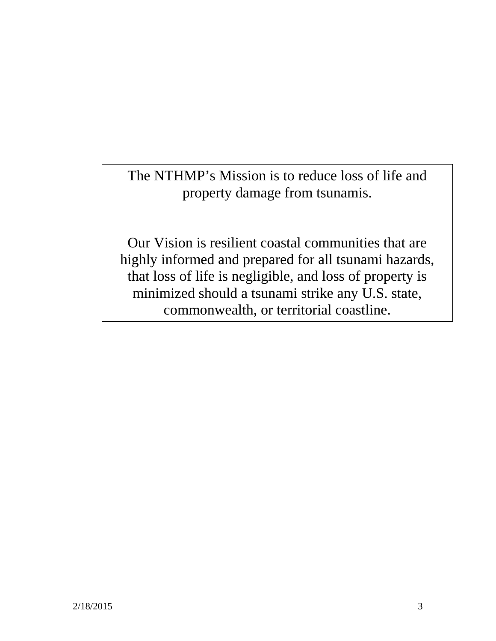The NTHMP's Mission is to reduce loss of life and property damage from tsunamis.

Our Vision is resilient coastal communities that are highly informed and prepared for all tsunami hazards, that loss of life is negligible, and loss of property is minimized should a tsunami strike any U.S. state, commonwealth, or territorial coastline.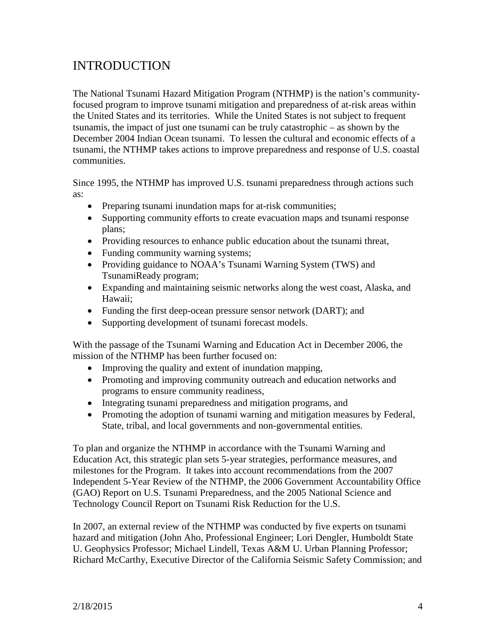## INTRODUCTION

The National Tsunami Hazard Mitigation Program (NTHMP) is the nation's communityfocused program to improve tsunami mitigation and preparedness of at-risk areas within the United States and its territories. While the United States is not subject to frequent tsunamis, the impact of just one tsunami can be truly catastrophic – as shown by the December 2004 Indian Ocean tsunami. To lessen the cultural and economic effects of a tsunami, the NTHMP takes actions to improve preparedness and response of U.S. coastal communities.

Since 1995, the NTHMP has improved U.S. tsunami preparedness through actions such as:

- Preparing tsunami inundation maps for at-risk communities;
- Supporting community efforts to create evacuation maps and tsunami response plans;
- Providing resources to enhance public education about the tsunami threat,
- Funding community warning systems;
- Providing guidance to NOAA's Tsunami Warning System (TWS) and TsunamiReady program;
- Expanding and maintaining seismic networks along the west coast, Alaska, and Hawaii;
- Funding the first deep-ocean pressure sensor network (DART); and
- Supporting development of tsunami forecast models.

With the passage of the Tsunami Warning and Education Act in December 2006, the mission of the NTHMP has been further focused on:

- Improving the quality and extent of inundation mapping,
- Promoting and improving community outreach and education networks and programs to ensure community readiness,
- Integrating tsunami preparedness and mitigation programs, and
- Promoting the adoption of tsunami warning and mitigation measures by Federal, State, tribal, and local governments and non-governmental entities.

To plan and organize the NTHMP in accordance with the Tsunami Warning and Education Act, this strategic plan sets 5-year strategies, performance measures, and milestones for the Program. It takes into account recommendations from the 2007 Independent 5-Year Review of the NTHMP, the 2006 Government Accountability Office (GAO) Report on U.S. Tsunami Preparedness, and the 2005 National Science and Technology Council Report on Tsunami Risk Reduction for the U.S.

In 2007, an external review of the NTHMP was conducted by five experts on tsunami hazard and mitigation (John Aho, Professional Engineer; Lori Dengler, Humboldt State U. Geophysics Professor; Michael Lindell, Texas A&M U. Urban Planning Professor; Richard McCarthy, Executive Director of the California Seismic Safety Commission; and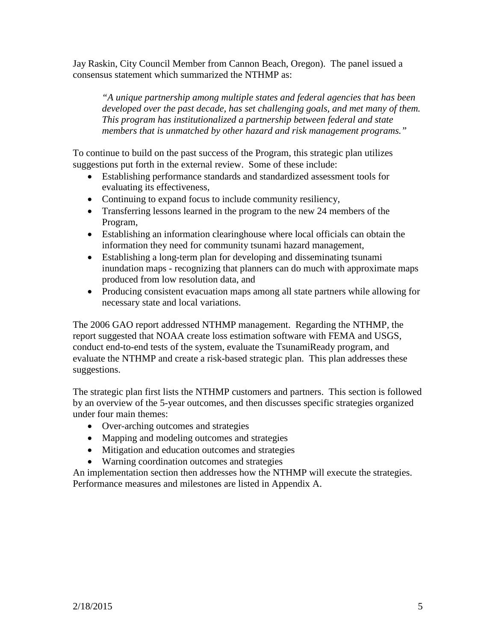Jay Raskin, City Council Member from Cannon Beach, Oregon). The panel issued a consensus statement which summarized the NTHMP as:

*"A unique partnership among multiple states and federal agencies that has been developed over the past decade, has set challenging goals, and met many of them. This program has institutionalized a partnership between federal and state members that is unmatched by other hazard and risk management programs."*

To continue to build on the past success of the Program, this strategic plan utilizes suggestions put forth in the external review. Some of these include:

- Establishing performance standards and standardized assessment tools for evaluating its effectiveness,
- Continuing to expand focus to include community resiliency,
- Transferring lessons learned in the program to the new 24 members of the Program,
- Establishing an information clearinghouse where local officials can obtain the information they need for community tsunami hazard management,
- Establishing a long-term plan for developing and disseminating tsunami inundation maps - recognizing that planners can do much with approximate maps produced from low resolution data, and
- Producing consistent evacuation maps among all state partners while allowing for necessary state and local variations.

The 2006 GAO report addressed NTHMP management. Regarding the NTHMP, the report suggested that NOAA create loss estimation software with FEMA and USGS, conduct end-to-end tests of the system, evaluate the TsunamiReady program, and evaluate the NTHMP and create a risk-based strategic plan. This plan addresses these suggestions.

The strategic plan first lists the NTHMP customers and partners. This section is followed by an overview of the 5-year outcomes, and then discusses specific strategies organized under four main themes:

- Over-arching outcomes and strategies
- Mapping and modeling outcomes and strategies
- Mitigation and education outcomes and strategies
- Warning coordination outcomes and strategies

An implementation section then addresses how the NTHMP will execute the strategies. Performance measures and milestones are listed in Appendix A.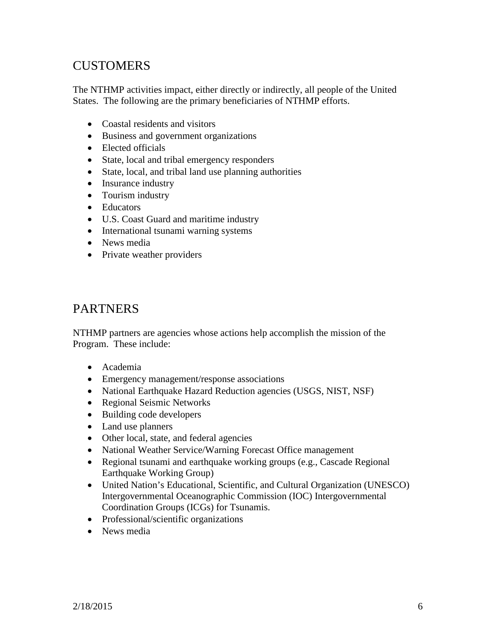# **CUSTOMERS**

The NTHMP activities impact, either directly or indirectly, all people of the United States. The following are the primary beneficiaries of NTHMP efforts.

- Coastal residents and visitors
- Business and government organizations
- Elected officials
- State, local and tribal emergency responders
- State, local, and tribal land use planning authorities
- Insurance industry
- Tourism industry
- Educators
- U.S. Coast Guard and maritime industry
- International tsunami warning systems
- News media
- Private weather providers

### PARTNERS

NTHMP partners are agencies whose actions help accomplish the mission of the Program. These include:

- Academia
- Emergency management/response associations
- National Earthquake Hazard Reduction agencies (USGS, NIST, NSF)
- Regional Seismic Networks
- Building code developers
- Land use planners
- Other local, state, and federal agencies
- National Weather Service/Warning Forecast Office management
- Regional tsunami and earthquake working groups (e.g., Cascade Regional Earthquake Working Group)
- United Nation's Educational, Scientific, and Cultural Organization (UNESCO) Intergovernmental Oceanographic Commission (IOC) Intergovernmental Coordination Groups (ICGs) for Tsunamis.
- Professional/scientific organizations
- News media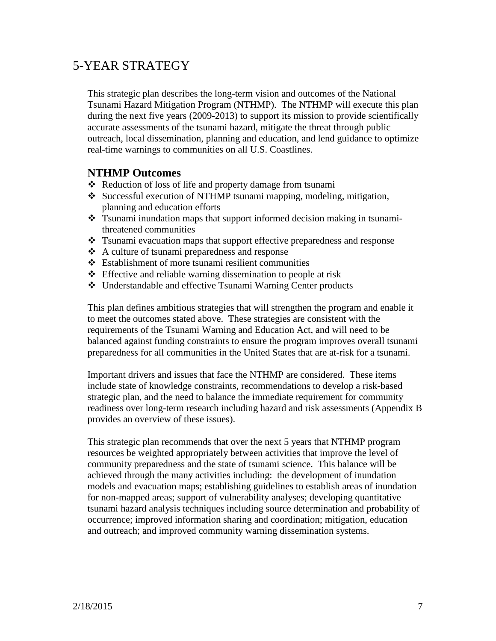# 5-YEAR STRATEGY

This strategic plan describes the long-term vision and outcomes of the National Tsunami Hazard Mitigation Program (NTHMP). The NTHMP will execute this plan during the next five years (2009-2013) to support its mission to provide scientifically accurate assessments of the tsunami hazard, mitigate the threat through public outreach, local dissemination, planning and education, and lend guidance to optimize real-time warnings to communities on all U.S. Coastlines.

### **NTHMP Outcomes**

- Reduction of loss of life and property damage from tsunami
- Successful execution of NTHMP tsunami mapping, modeling, mitigation, planning and education efforts
- \* Tsunami inundation maps that support informed decision making in tsunamithreatened communities
- Tsunami evacuation maps that support effective preparedness and response
- A culture of tsunami preparedness and response
- Establishment of more tsunami resilient communities
- $\triangle$  Effective and reliable warning dissemination to people at risk
- Understandable and effective Tsunami Warning Center products

This plan defines ambitious strategies that will strengthen the program and enable it to meet the outcomes stated above. These strategies are consistent with the requirements of the Tsunami Warning and Education Act, and will need to be balanced against funding constraints to ensure the program improves overall tsunami preparedness for all communities in the United States that are at-risk for a tsunami.

Important drivers and issues that face the NTHMP are considered. These items include state of knowledge constraints, recommendations to develop a risk-based strategic plan, and the need to balance the immediate requirement for community readiness over long-term research including hazard and risk assessments (Appendix B provides an overview of these issues).

This strategic plan recommends that over the next 5 years that NTHMP program resources be weighted appropriately between activities that improve the level of community preparedness and the state of tsunami science. This balance will be achieved through the many activities including: the development of inundation models and evacuation maps; establishing guidelines to establish areas of inundation for non-mapped areas; support of vulnerability analyses; developing quantitative tsunami hazard analysis techniques including source determination and probability of occurrence; improved information sharing and coordination; mitigation, education and outreach; and improved community warning dissemination systems.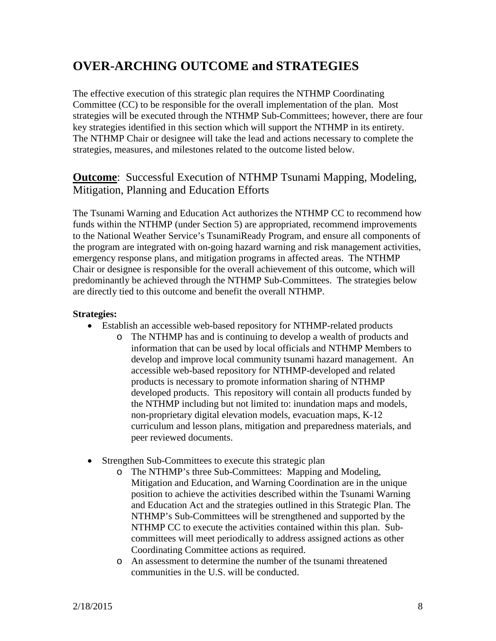# **OVER-ARCHING OUTCOME and STRATEGIES**

The effective execution of this strategic plan requires the NTHMP Coordinating Committee (CC) to be responsible for the overall implementation of the plan. Most strategies will be executed through the NTHMP Sub-Committees; however, there are four key strategies identified in this section which will support the NTHMP in its entirety. The NTHMP Chair or designee will take the lead and actions necessary to complete the strategies, measures, and milestones related to the outcome listed below.

### **Outcome**: Successful Execution of NTHMP Tsunami Mapping, Modeling, Mitigation, Planning and Education Efforts

The Tsunami Warning and Education Act authorizes the NTHMP CC to recommend how funds within the NTHMP (under Section 5) are appropriated, recommend improvements to the National Weather Service's TsunamiReady Program, and ensure all components of the program are integrated with on-going hazard warning and risk management activities, emergency response plans, and mitigation programs in affected areas. The NTHMP Chair or designee is responsible for the overall achievement of this outcome, which will predominantly be achieved through the NTHMP Sub-Committees. The strategies below are directly tied to this outcome and benefit the overall NTHMP.

- Establish an accessible web-based repository for NTHMP-related products
	- o The NTHMP has and is continuing to develop a wealth of products and information that can be used by local officials and NTHMP Members to develop and improve local community tsunami hazard management. An accessible web-based repository for NTHMP-developed and related products is necessary to promote information sharing of NTHMP developed products. This repository will contain all products funded by the NTHMP including but not limited to: inundation maps and models, non-proprietary digital elevation models, evacuation maps, K-12 curriculum and lesson plans, mitigation and preparedness materials, and peer reviewed documents.
- Strengthen Sub-Committees to execute this strategic plan
	- o The NTHMP's three Sub-Committees: Mapping and Modeling, Mitigation and Education, and Warning Coordination are in the unique position to achieve the activities described within the Tsunami Warning and Education Act and the strategies outlined in this Strategic Plan. The NTHMP's Sub-Committees will be strengthened and supported by the NTHMP CC to execute the activities contained within this plan. Subcommittees will meet periodically to address assigned actions as other Coordinating Committee actions as required.
	- o An assessment to determine the number of the tsunami threatened communities in the U.S. will be conducted.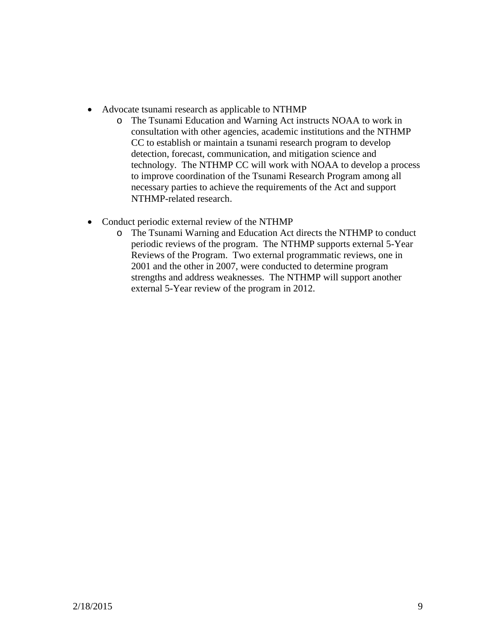- Advocate tsunami research as applicable to NTHMP
	- o The Tsunami Education and Warning Act instructs NOAA to work in consultation with other agencies, academic institutions and the NTHMP CC to establish or maintain a tsunami research program to develop detection, forecast, communication, and mitigation science and technology. The NTHMP CC will work with NOAA to develop a process to improve coordination of the Tsunami Research Program among all necessary parties to achieve the requirements of the Act and support NTHMP-related research.
- Conduct periodic external review of the NTHMP
	- o The Tsunami Warning and Education Act directs the NTHMP to conduct periodic reviews of the program. The NTHMP supports external 5-Year Reviews of the Program. Two external programmatic reviews, one in 2001 and the other in 2007, were conducted to determine program strengths and address weaknesses. The NTHMP will support another external 5-Year review of the program in 2012.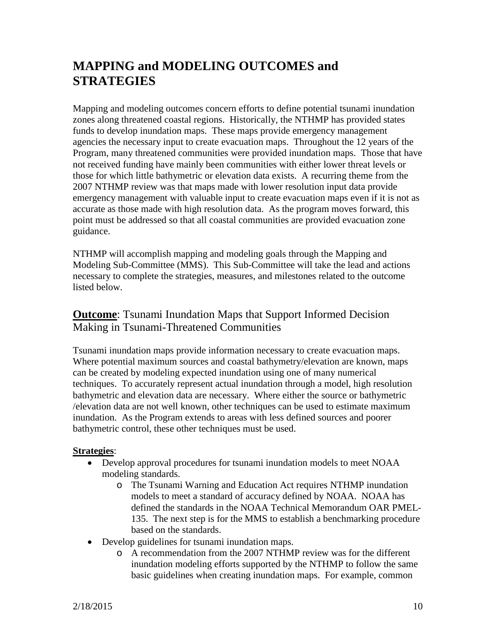# **MAPPING and MODELING OUTCOMES and STRATEGIES**

Mapping and modeling outcomes concern efforts to define potential tsunami inundation zones along threatened coastal regions. Historically, the NTHMP has provided states funds to develop inundation maps. These maps provide emergency management agencies the necessary input to create evacuation maps. Throughout the 12 years of the Program, many threatened communities were provided inundation maps. Those that have not received funding have mainly been communities with either lower threat levels or those for which little bathymetric or elevation data exists. A recurring theme from the 2007 NTHMP review was that maps made with lower resolution input data provide emergency management with valuable input to create evacuation maps even if it is not as accurate as those made with high resolution data. As the program moves forward, this point must be addressed so that all coastal communities are provided evacuation zone guidance.

NTHMP will accomplish mapping and modeling goals through the Mapping and Modeling Sub-Committee (MMS). This Sub-Committee will take the lead and actions necessary to complete the strategies, measures, and milestones related to the outcome listed below.

### **Outcome**: Tsunami Inundation Maps that Support Informed Decision Making in Tsunami-Threatened Communities

Tsunami inundation maps provide information necessary to create evacuation maps. Where potential maximum sources and coastal bathymetry/elevation are known, maps can be created by modeling expected inundation using one of many numerical techniques. To accurately represent actual inundation through a model, high resolution bathymetric and elevation data are necessary. Where either the source or bathymetric /elevation data are not well known, other techniques can be used to estimate maximum inundation. As the Program extends to areas with less defined sources and poorer bathymetric control, these other techniques must be used.

- Develop approval procedures for tsunami inundation models to meet NOAA modeling standards.
	- o The Tsunami Warning and Education Act requires NTHMP inundation models to meet a standard of accuracy defined by NOAA. NOAA has defined the standards in the NOAA Technical Memorandum OAR PMEL-135. The next step is for the MMS to establish a benchmarking procedure based on the standards.
- Develop guidelines for tsunami inundation maps.
	- o A recommendation from the 2007 NTHMP review was for the different inundation modeling efforts supported by the NTHMP to follow the same basic guidelines when creating inundation maps. For example, common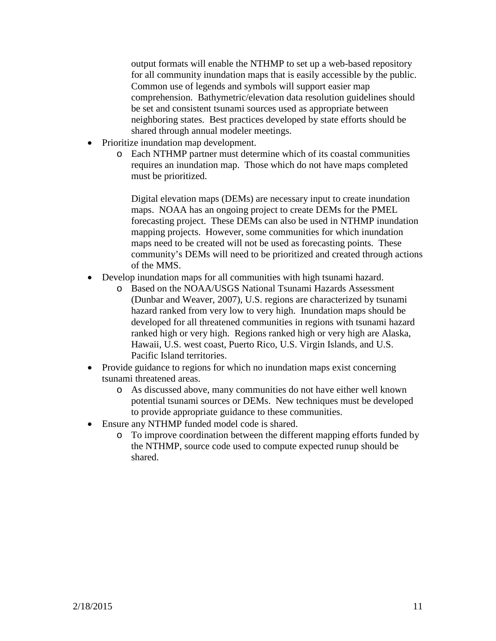output formats will enable the NTHMP to set up a web-based repository for all community inundation maps that is easily accessible by the public. Common use of legends and symbols will support easier map comprehension. Bathymetric/elevation data resolution guidelines should be set and consistent tsunami sources used as appropriate between neighboring states. Best practices developed by state efforts should be shared through annual modeler meetings.

- Prioritize inundation map development.
	- o Each NTHMP partner must determine which of its coastal communities requires an inundation map. Those which do not have maps completed must be prioritized.

Digital elevation maps (DEMs) are necessary input to create inundation maps. NOAA has an ongoing project to create DEMs for the PMEL forecasting project. These DEMs can also be used in NTHMP inundation mapping projects. However, some communities for which inundation maps need to be created will not be used as forecasting points. These community's DEMs will need to be prioritized and created through actions of the MMS.

- Develop inundation maps for all communities with high tsunami hazard.
	- o Based on the NOAA/USGS National Tsunami Hazards Assessment (Dunbar and Weaver, 2007), U.S. regions are characterized by tsunami hazard ranked from very low to very high. Inundation maps should be developed for all threatened communities in regions with tsunami hazard ranked high or very high. Regions ranked high or very high are Alaska, Hawaii, U.S. west coast, Puerto Rico, U.S. Virgin Islands, and U.S. Pacific Island territories.
- Provide guidance to regions for which no inundation maps exist concerning tsunami threatened areas.
	- o As discussed above, many communities do not have either well known potential tsunami sources or DEMs. New techniques must be developed to provide appropriate guidance to these communities.
- Ensure any NTHMP funded model code is shared.
	- o To improve coordination between the different mapping efforts funded by the NTHMP, source code used to compute expected runup should be shared.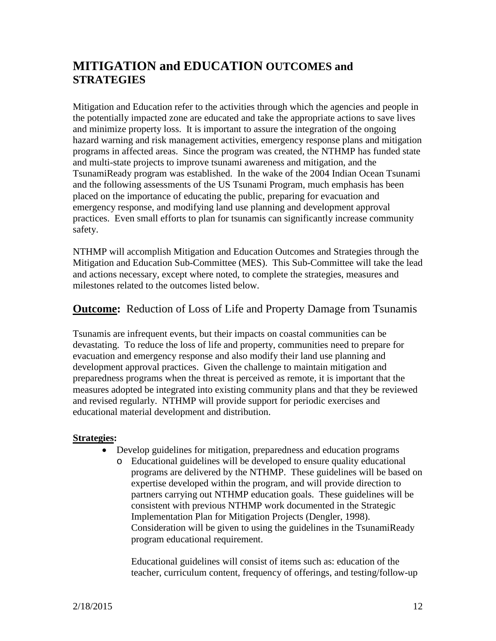## **MITIGATION and EDUCATION OUTCOMES and STRATEGIES**

Mitigation and Education refer to the activities through which the agencies and people in the potentially impacted zone are educated and take the appropriate actions to save lives and minimize property loss. It is important to assure the integration of the ongoing hazard warning and risk management activities, emergency response plans and mitigation programs in affected areas. Since the program was created, the NTHMP has funded state and multi-state projects to improve tsunami awareness and mitigation, and the TsunamiReady program was established. In the wake of the 2004 Indian Ocean Tsunami and the following assessments of the US Tsunami Program, much emphasis has been placed on the importance of educating the public, preparing for evacuation and emergency response, and modifying land use planning and development approval practices. Even small efforts to plan for tsunamis can significantly increase community safety.

NTHMP will accomplish Mitigation and Education Outcomes and Strategies through the Mitigation and Education Sub-Committee (MES). This Sub-Committee will take the lead and actions necessary, except where noted, to complete the strategies, measures and milestones related to the outcomes listed below.

### **Outcome:** Reduction of Loss of Life and Property Damage from Tsunamis

Tsunamis are infrequent events, but their impacts on coastal communities can be devastating. To reduce the loss of life and property, communities need to prepare for evacuation and emergency response and also modify their land use planning and development approval practices. Given the challenge to maintain mitigation and preparedness programs when the threat is perceived as remote, it is important that the measures adopted be integrated into existing community plans and that they be reviewed and revised regularly. NTHMP will provide support for periodic exercises and educational material development and distribution.

#### **Strategies:**

- Develop guidelines for mitigation, preparedness and education programs
	- o Educational guidelines will be developed to ensure quality educational programs are delivered by the NTHMP. These guidelines will be based on expertise developed within the program, and will provide direction to partners carrying out NTHMP education goals. These guidelines will be consistent with previous NTHMP work documented in the Strategic Implementation Plan for Mitigation Projects (Dengler, 1998). Consideration will be given to using the guidelines in the TsunamiReady program educational requirement.

Educational guidelines will consist of items such as: education of the teacher, curriculum content, frequency of offerings, and testing/follow-up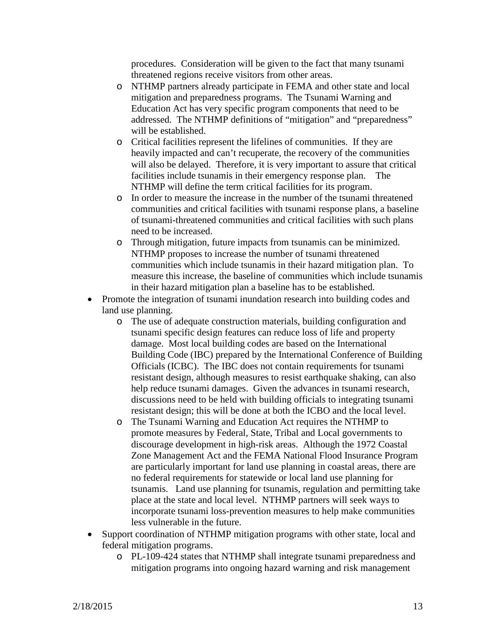procedures. Consideration will be given to the fact that many tsunami threatened regions receive visitors from other areas.

- o NTHMP partners already participate in FEMA and other state and local mitigation and preparedness programs. The Tsunami Warning and Education Act has very specific program components that need to be addressed. The NTHMP definitions of "mitigation" and "preparedness" will be established.
- o Critical facilities represent the lifelines of communities. If they are heavily impacted and can't recuperate, the recovery of the communities will also be delayed. Therefore, it is very important to assure that critical facilities include tsunamis in their emergency response plan. The NTHMP will define the term critical facilities for its program.
- o In order to measure the increase in the number of the tsunami threatened communities and critical facilities with tsunami response plans, a baseline of tsunami-threatened communities and critical facilities with such plans need to be increased.
- o Through mitigation, future impacts from tsunamis can be minimized. NTHMP proposes to increase the number of tsunami threatened communities which include tsunamis in their hazard mitigation plan. To measure this increase, the baseline of communities which include tsunamis in their hazard mitigation plan a baseline has to be established.
- Promote the integration of tsunami inundation research into building codes and land use planning.
	- o The use of adequate construction materials, building configuration and tsunami specific design features can reduce loss of life and property damage. Most local building codes are based on the International Building Code (IBC) prepared by the International Conference of Building Officials (ICBC). The IBC does not contain requirements for tsunami resistant design, although measures to resist earthquake shaking, can also help reduce tsunami damages. Given the advances in tsunami research, discussions need to be held with building officials to integrating tsunami resistant design; this will be done at both the ICBO and the local level.
	- o The Tsunami Warning and Education Act requires the NTHMP to promote measures by Federal, State, Tribal and Local governments to discourage development in high-risk areas. Although the 1972 Coastal Zone Management Act and the FEMA National Flood Insurance Program are particularly important for land use planning in coastal areas, there are no federal requirements for statewide or local land use planning for tsunamis. Land use planning for tsunamis, regulation and permitting take place at the state and local level. NTHMP partners will seek ways to incorporate tsunami loss-prevention measures to help make communities less vulnerable in the future.
- Support coordination of NTHMP mitigation programs with other state, local and federal mitigation programs.
	- o PL-109-424 states that NTHMP shall integrate tsunami preparedness and mitigation programs into ongoing hazard warning and risk management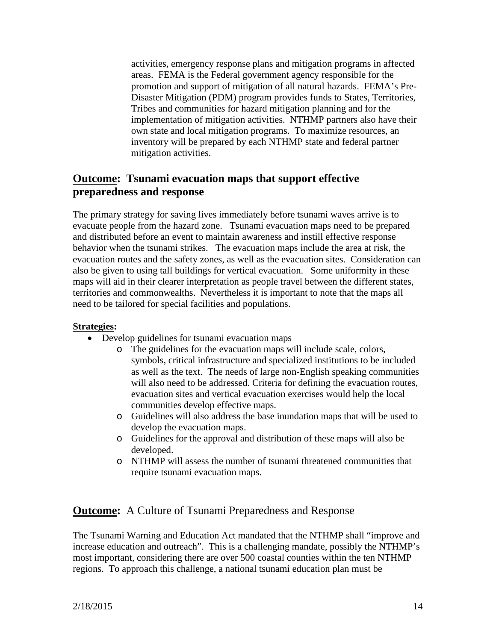activities, emergency response plans and mitigation programs in affected areas. FEMA is the Federal government agency responsible for the promotion and support of mitigation of all natural hazards. FEMA's Pre-Disaster Mitigation (PDM) program provides funds to States, Territories, Tribes and communities for hazard mitigation planning and for the implementation of mitigation activities. NTHMP partners also have their own state and local mitigation programs. To maximize resources, an inventory will be prepared by each NTHMP state and federal partner mitigation activities.

### **Outcome: Tsunami evacuation maps that support effective preparedness and response**

The primary strategy for saving lives immediately before tsunami waves arrive is to evacuate people from the hazard zone. Tsunami evacuation maps need to be prepared and distributed before an event to maintain awareness and instill effective response behavior when the tsunami strikes. The evacuation maps include the area at risk, the evacuation routes and the safety zones, as well as the evacuation sites. Consideration can also be given to using tall buildings for vertical evacuation. Some uniformity in these maps will aid in their clearer interpretation as people travel between the different states, territories and commonwealths. Nevertheless it is important to note that the maps all need to be tailored for special facilities and populations.

#### **Strategies:**

- Develop guidelines for tsunami evacuation maps
	- o The guidelines for the evacuation maps will include scale, colors, symbols, critical infrastructure and specialized institutions to be included as well as the text. The needs of large non-English speaking communities will also need to be addressed. Criteria for defining the evacuation routes, evacuation sites and vertical evacuation exercises would help the local communities develop effective maps.
	- o Guidelines will also address the base inundation maps that will be used to develop the evacuation maps.
	- o Guidelines for the approval and distribution of these maps will also be developed.
	- o NTHMP will assess the number of tsunami threatened communities that require tsunami evacuation maps.

#### **Outcome:** A Culture of Tsunami Preparedness and Response

The Tsunami Warning and Education Act mandated that the NTHMP shall "improve and increase education and outreach". This is a challenging mandate, possibly the NTHMP's most important, considering there are over 500 coastal counties within the ten NTHMP regions. To approach this challenge, a national tsunami education plan must be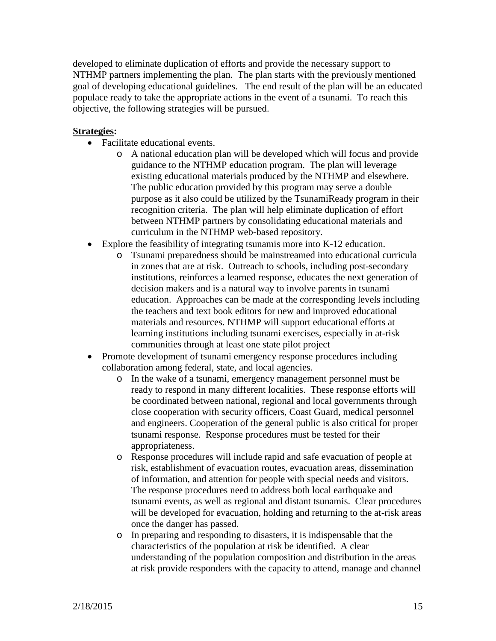developed to eliminate duplication of efforts and provide the necessary support to NTHMP partners implementing the plan. The plan starts with the previously mentioned goal of developing educational guidelines. The end result of the plan will be an educated populace ready to take the appropriate actions in the event of a tsunami. To reach this objective, the following strategies will be pursued.

- Facilitate educational events.
	- o A national education plan will be developed which will focus and provide guidance to the NTHMP education program. The plan will leverage existing educational materials produced by the NTHMP and elsewhere. The public education provided by this program may serve a double purpose as it also could be utilized by the TsunamiReady program in their recognition criteria. The plan will help eliminate duplication of effort between NTHMP partners by consolidating educational materials and curriculum in the NTHMP web-based repository.
- Explore the feasibility of integrating tsunamis more into K-12 education.
	- o Tsunami preparedness should be mainstreamed into educational curricula in zones that are at risk. Outreach to schools, including post-secondary institutions, reinforces a learned response, educates the next generation of decision makers and is a natural way to involve parents in tsunami education. Approaches can be made at the corresponding levels including the teachers and text book editors for new and improved educational materials and resources. NTHMP will support educational efforts at learning institutions including tsunami exercises, especially in at-risk communities through at least one state pilot project
- Promote development of tsunami emergency response procedures including collaboration among federal, state, and local agencies.
	- o In the wake of a tsunami, emergency management personnel must be ready to respond in many different localities. These response efforts will be coordinated between national, regional and local governments through close cooperation with security officers, Coast Guard, medical personnel and engineers. Cooperation of the general public is also critical for proper tsunami response. Response procedures must be tested for their appropriateness.
	- o Response procedures will include rapid and safe evacuation of people at risk, establishment of evacuation routes, evacuation areas, dissemination of information, and attention for people with special needs and visitors. The response procedures need to address both local earthquake and tsunami events, as well as regional and distant tsunamis. Clear procedures will be developed for evacuation, holding and returning to the at-risk areas once the danger has passed.
	- o In preparing and responding to disasters, it is indispensable that the characteristics of the population at risk be identified. A clear understanding of the population composition and distribution in the areas at risk provide responders with the capacity to attend, manage and channel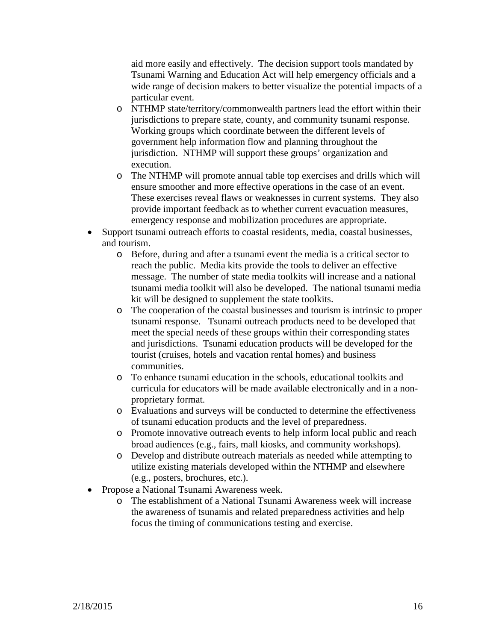aid more easily and effectively. The decision support tools mandated by Tsunami Warning and Education Act will help emergency officials and a wide range of decision makers to better visualize the potential impacts of a particular event.

- o NTHMP state/territory/commonwealth partners lead the effort within their jurisdictions to prepare state, county, and community tsunami response. Working groups which coordinate between the different levels of government help information flow and planning throughout the jurisdiction. NTHMP will support these groups' organization and execution.
- o The NTHMP will promote annual table top exercises and drills which will ensure smoother and more effective operations in the case of an event. These exercises reveal flaws or weaknesses in current systems. They also provide important feedback as to whether current evacuation measures, emergency response and mobilization procedures are appropriate.
- Support tsunami outreach efforts to coastal residents, media, coastal businesses, and tourism.
	- o Before, during and after a tsunami event the media is a critical sector to reach the public. Media kits provide the tools to deliver an effective message. The number of state media toolkits will increase and a national tsunami media toolkit will also be developed. The national tsunami media kit will be designed to supplement the state toolkits.
	- o The cooperation of the coastal businesses and tourism is intrinsic to proper tsunami response. Tsunami outreach products need to be developed that meet the special needs of these groups within their corresponding states and jurisdictions. Tsunami education products will be developed for the tourist (cruises, hotels and vacation rental homes) and business communities.
	- o To enhance tsunami education in the schools, educational toolkits and curricula for educators will be made available electronically and in a nonproprietary format.
	- o Evaluations and surveys will be conducted to determine the effectiveness of tsunami education products and the level of preparedness.
	- o Promote innovative outreach events to help inform local public and reach broad audiences (e.g., fairs, mall kiosks, and community workshops).
	- o Develop and distribute outreach materials as needed while attempting to utilize existing materials developed within the NTHMP and elsewhere (e.g., posters, brochures, etc.).
- Propose a National Tsunami Awareness week.
	- o The establishment of a National Tsunami Awareness week will increase the awareness of tsunamis and related preparedness activities and help focus the timing of communications testing and exercise.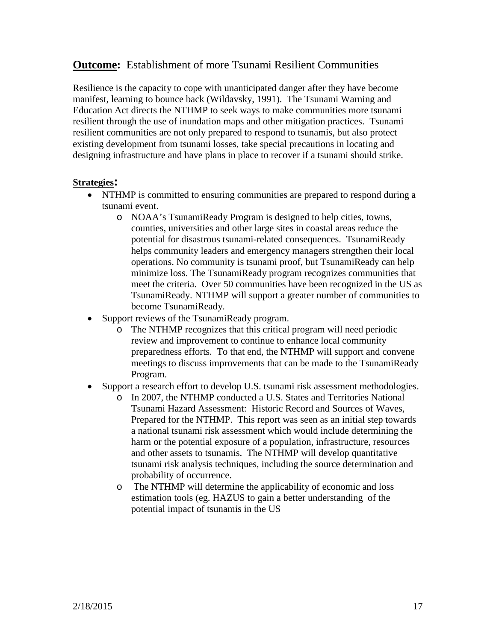### **Outcome:** Establishment of more Tsunami Resilient Communities

Resilience is the capacity to cope with unanticipated danger after they have become manifest, learning to bounce back (Wildavsky, 1991). The Tsunami Warning and Education Act directs the NTHMP to seek ways to make communities more tsunami resilient through the use of inundation maps and other mitigation practices. Tsunami resilient communities are not only prepared to respond to tsunamis, but also protect existing development from tsunami losses, take special precautions in locating and designing infrastructure and have plans in place to recover if a tsunami should strike.

- NTHMP is committed to ensuring communities are prepared to respond during a tsunami event.
	- o NOAA's TsunamiReady Program is designed to help cities, towns, counties, universities and other large sites in coastal areas reduce the potential for disastrous tsunami-related consequences. TsunamiReady helps community leaders and emergency managers strengthen their local operations. No community is tsunami proof, but TsunamiReady can help minimize loss. The TsunamiReady program recognizes communities that meet the criteria. Over 50 communities have been recognized in the US as TsunamiReady. NTHMP will support a greater number of communities to become TsunamiReady.
- Support reviews of the TsunamiReady program.
	- o The NTHMP recognizes that this critical program will need periodic review and improvement to continue to enhance local community preparedness efforts. To that end, the NTHMP will support and convene meetings to discuss improvements that can be made to the TsunamiReady Program.
- Support a research effort to develop U.S. tsunami risk assessment methodologies.
	- o In 2007, the NTHMP conducted a U.S. States and Territories National Tsunami Hazard Assessment: Historic Record and Sources of Waves, Prepared for the NTHMP. This report was seen as an initial step towards a national tsunami risk assessment which would include determining the harm or the potential exposure of a population, infrastructure, resources and other assets to tsunamis. The NTHMP will develop quantitative tsunami risk analysis techniques, including the source determination and probability of occurrence.
	- o The NTHMP will determine the applicability of economic and loss estimation tools (eg. HAZUS to gain a better understanding of the potential impact of tsunamis in the US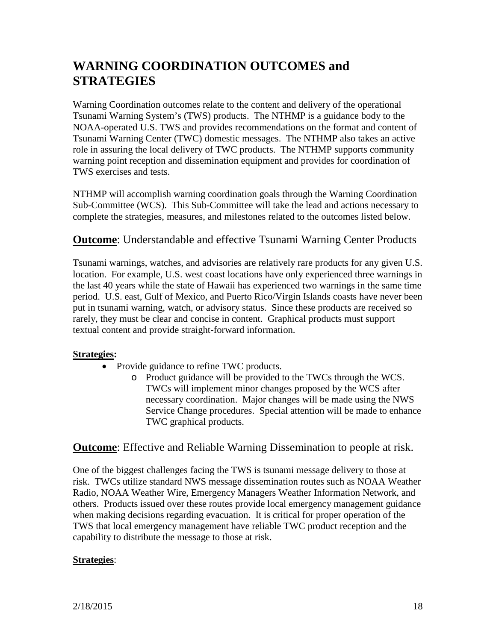# **WARNING COORDINATION OUTCOMES and STRATEGIES**

Warning Coordination outcomes relate to the content and delivery of the operational Tsunami Warning System's (TWS) products. The NTHMP is a guidance body to the NOAA-operated U.S. TWS and provides recommendations on the format and content of Tsunami Warning Center (TWC) domestic messages. The NTHMP also takes an active role in assuring the local delivery of TWC products. The NTHMP supports community warning point reception and dissemination equipment and provides for coordination of TWS exercises and tests.

NTHMP will accomplish warning coordination goals through the Warning Coordination Sub-Committee (WCS). This Sub-Committee will take the lead and actions necessary to complete the strategies, measures, and milestones related to the outcomes listed below.

### **Outcome**: Understandable and effective Tsunami Warning Center Products

Tsunami warnings, watches, and advisories are relatively rare products for any given U.S. location. For example, U.S. west coast locations have only experienced three warnings in the last 40 years while the state of Hawaii has experienced two warnings in the same time period. U.S. east, Gulf of Mexico, and Puerto Rico/Virgin Islands coasts have never been put in tsunami warning, watch, or advisory status. Since these products are received so rarely, they must be clear and concise in content. Graphical products must support textual content and provide straight-forward information.

#### **Strategies:**

- Provide guidance to refine TWC products.
	- o Product guidance will be provided to the TWCs through the WCS. TWCs will implement minor changes proposed by the WCS after necessary coordination. Major changes will be made using the NWS Service Change procedures. Special attention will be made to enhance TWC graphical products.

### **Outcome**: Effective and Reliable Warning Dissemination to people at risk.

One of the biggest challenges facing the TWS is tsunami message delivery to those at risk. TWCs utilize standard NWS message dissemination routes such as NOAA Weather Radio, NOAA Weather Wire, Emergency Managers Weather Information Network, and others. Products issued over these routes provide local emergency management guidance when making decisions regarding evacuation. It is critical for proper operation of the TWS that local emergency management have reliable TWC product reception and the capability to distribute the message to those at risk.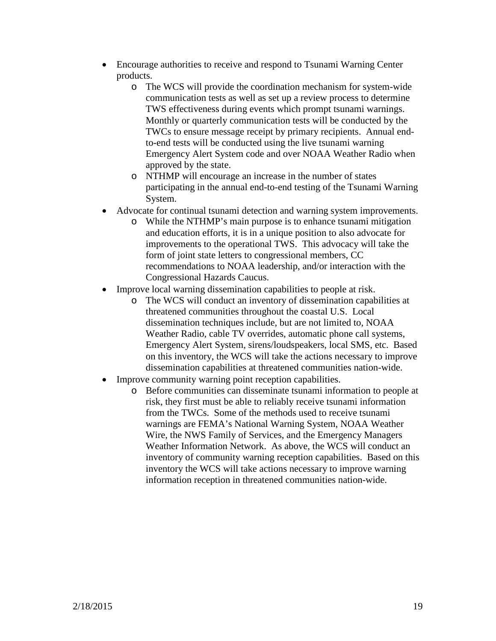- Encourage authorities to receive and respond to Tsunami Warning Center products.
	- o The WCS will provide the coordination mechanism for system-wide communication tests as well as set up a review process to determine TWS effectiveness during events which prompt tsunami warnings. Monthly or quarterly communication tests will be conducted by the TWCs to ensure message receipt by primary recipients. Annual endto-end tests will be conducted using the live tsunami warning Emergency Alert System code and over NOAA Weather Radio when approved by the state.
	- o NTHMP will encourage an increase in the number of states participating in the annual end-to-end testing of the Tsunami Warning System.
- Advocate for continual tsunami detection and warning system improvements.
	- o While the NTHMP's main purpose is to enhance tsunami mitigation and education efforts, it is in a unique position to also advocate for improvements to the operational TWS. This advocacy will take the form of joint state letters to congressional members, CC recommendations to NOAA leadership, and/or interaction with the Congressional Hazards Caucus.
- Improve local warning dissemination capabilities to people at risk.
	- o The WCS will conduct an inventory of dissemination capabilities at threatened communities throughout the coastal U.S. Local dissemination techniques include, but are not limited to, NOAA Weather Radio, cable TV overrides, automatic phone call systems, Emergency Alert System, sirens/loudspeakers, local SMS, etc. Based on this inventory, the WCS will take the actions necessary to improve dissemination capabilities at threatened communities nation-wide.
- Improve community warning point reception capabilities.
	- o Before communities can disseminate tsunami information to people at risk, they first must be able to reliably receive tsunami information from the TWCs. Some of the methods used to receive tsunami warnings are FEMA's National Warning System, NOAA Weather Wire, the NWS Family of Services, and the Emergency Managers Weather Information Network. As above, the WCS will conduct an inventory of community warning reception capabilities. Based on this inventory the WCS will take actions necessary to improve warning information reception in threatened communities nation-wide.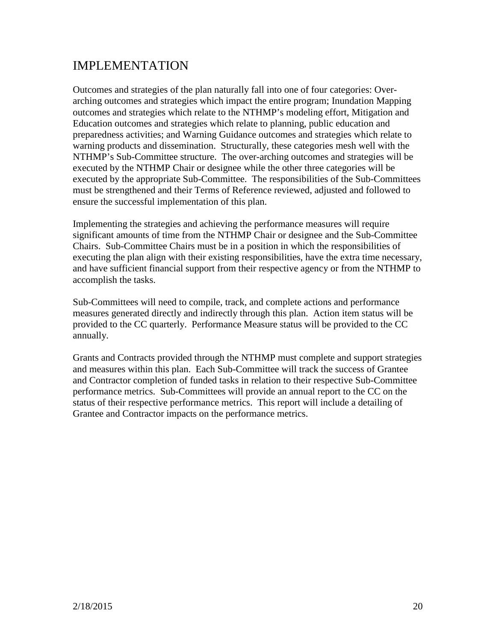# IMPLEMENTATION

Outcomes and strategies of the plan naturally fall into one of four categories: Overarching outcomes and strategies which impact the entire program; Inundation Mapping outcomes and strategies which relate to the NTHMP's modeling effort, Mitigation and Education outcomes and strategies which relate to planning, public education and preparedness activities; and Warning Guidance outcomes and strategies which relate to warning products and dissemination. Structurally, these categories mesh well with the NTHMP's Sub-Committee structure. The over-arching outcomes and strategies will be executed by the NTHMP Chair or designee while the other three categories will be executed by the appropriate Sub-Committee. The responsibilities of the Sub-Committees must be strengthened and their Terms of Reference reviewed, adjusted and followed to ensure the successful implementation of this plan.

Implementing the strategies and achieving the performance measures will require significant amounts of time from the NTHMP Chair or designee and the Sub-Committee Chairs. Sub-Committee Chairs must be in a position in which the responsibilities of executing the plan align with their existing responsibilities, have the extra time necessary, and have sufficient financial support from their respective agency or from the NTHMP to accomplish the tasks.

Sub-Committees will need to compile, track, and complete actions and performance measures generated directly and indirectly through this plan. Action item status will be provided to the CC quarterly. Performance Measure status will be provided to the CC annually.

Grants and Contracts provided through the NTHMP must complete and support strategies and measures within this plan. Each Sub-Committee will track the success of Grantee and Contractor completion of funded tasks in relation to their respective Sub-Committee performance metrics. Sub-Committees will provide an annual report to the CC on the status of their respective performance metrics. This report will include a detailing of Grantee and Contractor impacts on the performance metrics.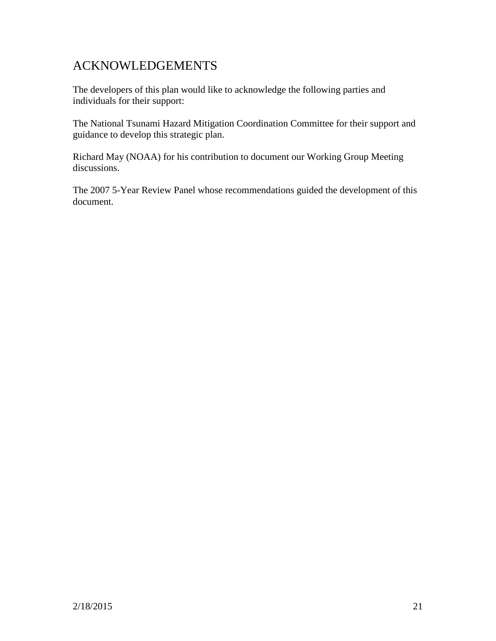# ACKNOWLEDGEMENTS

The developers of this plan would like to acknowledge the following parties and individuals for their support:

The National Tsunami Hazard Mitigation Coordination Committee for their support and guidance to develop this strategic plan.

Richard May (NOAA) for his contribution to document our Working Group Meeting discussions.

The 2007 5-Year Review Panel whose recommendations guided the development of this document.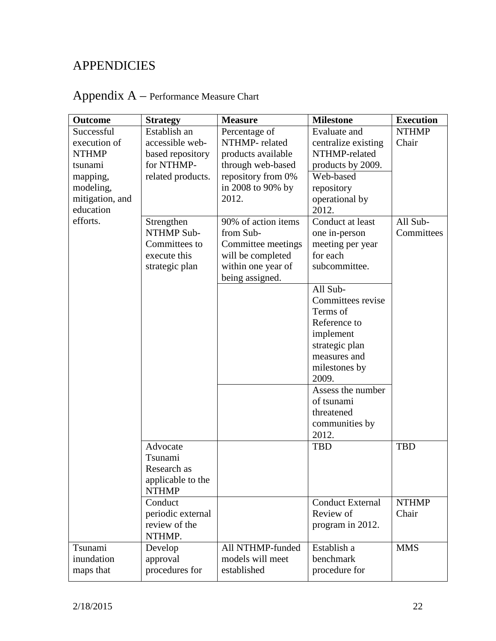# **APPENDICIES**

| <b>Outcome</b>  | <b>Strategy</b>   | <b>Measure</b>      | <b>Milestone</b>        | <b>Execution</b> |
|-----------------|-------------------|---------------------|-------------------------|------------------|
| Successful      | Establish an      | Percentage of       | Evaluate and            | <b>NTHMP</b>     |
| execution of    | accessible web-   | NTHMP-related       | centralize existing     | Chair            |
| <b>NTHMP</b>    | based repository  | products available  | NTHMP-related           |                  |
| tsunami         | for NTHMP-        | through web-based   | products by 2009.       |                  |
| mapping,        | related products. | repository from 0%  | Web-based               |                  |
| modeling,       |                   | in 2008 to 90% by   | repository              |                  |
| mitigation, and |                   | 2012.               | operational by          |                  |
| education       |                   |                     | 2012.                   |                  |
| efforts.        | Strengthen        | 90% of action items | Conduct at least        | All Sub-         |
|                 | NTHMP Sub-        | from Sub-           | one in-person           | Committees       |
|                 | Committees to     | Committee meetings  | meeting per year        |                  |
|                 | execute this      | will be completed   | for each                |                  |
|                 | strategic plan    | within one year of  | subcommittee.           |                  |
|                 |                   | being assigned.     |                         |                  |
|                 |                   |                     | All Sub-                |                  |
|                 |                   |                     | Committees revise       |                  |
|                 |                   |                     | Terms of                |                  |
|                 |                   |                     | Reference to            |                  |
|                 |                   |                     | implement               |                  |
|                 |                   |                     | strategic plan          |                  |
|                 |                   |                     | measures and            |                  |
|                 |                   |                     | milestones by           |                  |
|                 |                   |                     | 2009.                   |                  |
|                 |                   |                     | Assess the number       |                  |
|                 |                   |                     | of tsunami              |                  |
|                 |                   |                     | threatened              |                  |
|                 |                   |                     | communities by<br>2012. |                  |
|                 | Advocate          |                     | <b>TBD</b>              | <b>TBD</b>       |
|                 | Tsunami           |                     |                         |                  |
|                 | Research as       |                     |                         |                  |
|                 | applicable to the |                     |                         |                  |
|                 | <b>NTHMP</b>      |                     |                         |                  |
|                 | Conduct           |                     | <b>Conduct External</b> | <b>NTHMP</b>     |
|                 | periodic external |                     | Review of               | Chair            |
|                 | review of the     |                     | program in 2012.        |                  |
|                 | NTHMP.            |                     |                         |                  |
| Tsunami         | Develop           | All NTHMP-funded    | Establish a             | <b>MMS</b>       |
| inundation      | approval          | models will meet    | benchmark               |                  |
| maps that       | procedures for    | established         | procedure for           |                  |
|                 |                   |                     |                         |                  |

# Appendix A – Performance Measure Chart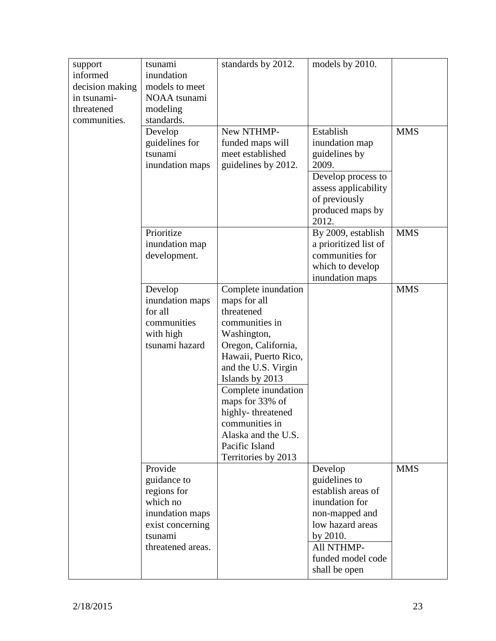| support<br>informed<br>decision making<br>in tsunami-<br>threatened<br>communities. | tsunami<br>inundation<br>models to meet<br>NOAA tsunami<br>modeling<br>standards.<br>Develop<br>guidelines for<br>tsunami<br>inundation maps | standards by 2012.<br>New NTHMP-<br>funded maps will<br>meet established<br>guidelines by 2012.                                                                                                                                                                                                                              | models by 2010.<br>Establish<br>inundation map<br>guidelines by<br>2009.                                                                                               | <b>MMS</b> |
|-------------------------------------------------------------------------------------|----------------------------------------------------------------------------------------------------------------------------------------------|------------------------------------------------------------------------------------------------------------------------------------------------------------------------------------------------------------------------------------------------------------------------------------------------------------------------------|------------------------------------------------------------------------------------------------------------------------------------------------------------------------|------------|
|                                                                                     |                                                                                                                                              |                                                                                                                                                                                                                                                                                                                              | Develop process to<br>assess applicability<br>of previously<br>produced maps by<br>2012.                                                                               |            |
|                                                                                     | Prioritize<br>inundation map<br>development.                                                                                                 |                                                                                                                                                                                                                                                                                                                              | By 2009, establish<br>a prioritized list of<br>communities for<br>which to develop<br>inundation maps                                                                  | <b>MMS</b> |
|                                                                                     | Develop<br>inundation maps<br>for all<br>communities<br>with high<br>tsunami hazard                                                          | Complete inundation<br>maps for all<br>threatened<br>communities in<br>Washington,<br>Oregon, California,<br>Hawaii, Puerto Rico,<br>and the U.S. Virgin<br>Islands by 2013<br>Complete inundation<br>maps for 33% of<br>highly-threatened<br>communities in<br>Alaska and the U.S.<br>Pacific Island<br>Territories by 2013 |                                                                                                                                                                        | <b>MMS</b> |
|                                                                                     | Provide<br>guidance to<br>regions for<br>which no<br>inundation maps<br>exist concerning<br>tsunami<br>threatened areas.                     |                                                                                                                                                                                                                                                                                                                              | Develop<br>guidelines to<br>establish areas of<br>inundation for<br>non-mapped and<br>low hazard areas<br>by 2010.<br>All NTHMP-<br>funded model code<br>shall be open | <b>MMS</b> |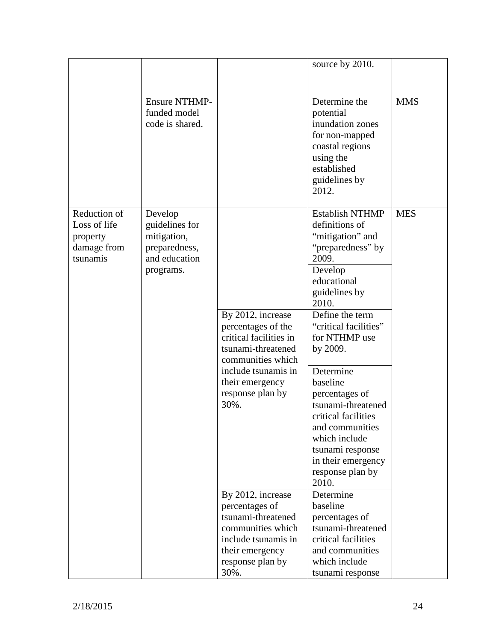|                                                                     |                                                                                         |                                                                                                                                                                                    | source by 2010.                                                                                                                                                                                                                                                                                                                                                                                                            |            |
|---------------------------------------------------------------------|-----------------------------------------------------------------------------------------|------------------------------------------------------------------------------------------------------------------------------------------------------------------------------------|----------------------------------------------------------------------------------------------------------------------------------------------------------------------------------------------------------------------------------------------------------------------------------------------------------------------------------------------------------------------------------------------------------------------------|------------|
|                                                                     |                                                                                         |                                                                                                                                                                                    |                                                                                                                                                                                                                                                                                                                                                                                                                            |            |
|                                                                     |                                                                                         |                                                                                                                                                                                    |                                                                                                                                                                                                                                                                                                                                                                                                                            |            |
|                                                                     | <b>Ensure NTHMP-</b><br>funded model<br>code is shared.                                 |                                                                                                                                                                                    | Determine the<br>potential<br>inundation zones<br>for non-mapped<br>coastal regions<br>using the<br>established<br>guidelines by<br>2012.                                                                                                                                                                                                                                                                                  | <b>MMS</b> |
| Reduction of<br>Loss of life<br>property<br>damage from<br>tsunamis | Develop<br>guidelines for<br>mitigation,<br>preparedness,<br>and education<br>programs. | By 2012, increase<br>percentages of the<br>critical facilities in<br>tsunami-threatened<br>communities which<br>include tsunamis in<br>their emergency<br>response plan by<br>30%. | <b>Establish NTHMP</b><br>definitions of<br>"mitigation" and<br>"preparedness" by<br>2009.<br>Develop<br>educational<br>guidelines by<br>2010.<br>Define the term<br>"critical facilities"<br>for NTHMP use<br>by 2009.<br>Determine<br>baseline<br>percentages of<br>tsunami-threatened<br>critical facilities<br>and communities<br>which include<br>tsunami response<br>in their emergency<br>response plan by<br>2010. | <b>MES</b> |
|                                                                     |                                                                                         | By 2012, increase                                                                                                                                                                  | Determine                                                                                                                                                                                                                                                                                                                                                                                                                  |            |
|                                                                     |                                                                                         | percentages of                                                                                                                                                                     | baseline                                                                                                                                                                                                                                                                                                                                                                                                                   |            |
|                                                                     |                                                                                         | tsunami-threatened                                                                                                                                                                 | percentages of                                                                                                                                                                                                                                                                                                                                                                                                             |            |
|                                                                     |                                                                                         | communities which                                                                                                                                                                  | tsunami-threatened                                                                                                                                                                                                                                                                                                                                                                                                         |            |
|                                                                     |                                                                                         | include tsunamis in                                                                                                                                                                | critical facilities                                                                                                                                                                                                                                                                                                                                                                                                        |            |
|                                                                     |                                                                                         | their emergency                                                                                                                                                                    | and communities                                                                                                                                                                                                                                                                                                                                                                                                            |            |
|                                                                     |                                                                                         | response plan by                                                                                                                                                                   | which include                                                                                                                                                                                                                                                                                                                                                                                                              |            |
|                                                                     |                                                                                         | 30%.                                                                                                                                                                               | tsunami response                                                                                                                                                                                                                                                                                                                                                                                                           |            |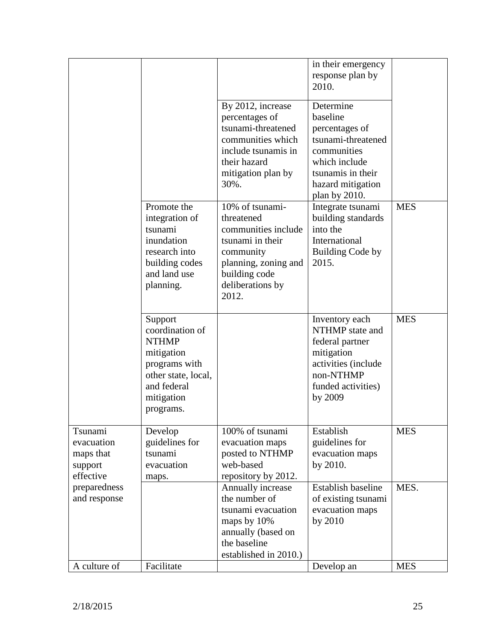|                                                            |                                                                                                                                            |                                                                                                                                                             | in their emergency<br>response plan by<br>2010.                                                                                                          |            |
|------------------------------------------------------------|--------------------------------------------------------------------------------------------------------------------------------------------|-------------------------------------------------------------------------------------------------------------------------------------------------------------|----------------------------------------------------------------------------------------------------------------------------------------------------------|------------|
|                                                            |                                                                                                                                            | By 2012, increase<br>percentages of<br>tsunami-threatened<br>communities which<br>include tsunamis in<br>their hazard<br>mitigation plan by<br>30%.         | Determine<br>baseline<br>percentages of<br>tsunami-threatened<br>communities<br>which include<br>tsunamis in their<br>hazard mitigation<br>plan by 2010. |            |
|                                                            | Promote the<br>integration of<br>tsunami<br>inundation<br>research into<br>building codes<br>and land use<br>planning.                     | 10% of tsunami-<br>threatened<br>communities include<br>tsunami in their<br>community<br>planning, zoning and<br>building code<br>deliberations by<br>2012. | Integrate tsunami<br>building standards<br>into the<br>International<br><b>Building Code by</b><br>2015.                                                 | <b>MES</b> |
|                                                            | Support<br>coordination of<br><b>NTHMP</b><br>mitigation<br>programs with<br>other state, local,<br>and federal<br>mitigation<br>programs. |                                                                                                                                                             | Inventory each<br>NTHMP state and<br>federal partner<br>mitigation<br>activities (include<br>non-NTHMP<br>funded activities)<br>by 2009                  | <b>MES</b> |
| Tsunami<br>evacuation<br>maps that<br>support<br>effective | Develop<br>guidelines for<br>tsunami<br>evacuation<br>maps.                                                                                | 100% of tsunami<br>evacuation maps<br>posted to NTHMP<br>web-based<br>repository by 2012.                                                                   | Establish<br>guidelines for<br>evacuation maps<br>by 2010.                                                                                               | <b>MES</b> |
| preparedness<br>and response                               |                                                                                                                                            | Annually increase<br>the number of<br>tsunami evacuation<br>maps by 10%<br>annually (based on<br>the baseline<br>established in 2010.)                      | Establish baseline<br>of existing tsunami<br>evacuation maps<br>by 2010                                                                                  | MES.       |
| A culture of                                               | Facilitate                                                                                                                                 |                                                                                                                                                             | Develop an                                                                                                                                               | <b>MES</b> |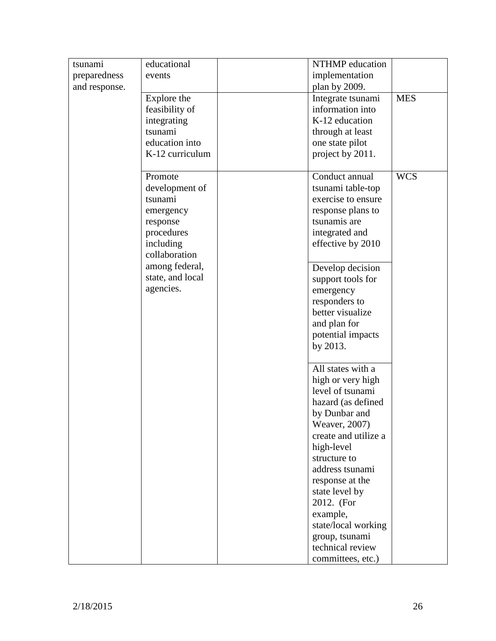| tsunami       | educational            | NTHMP education                   |            |
|---------------|------------------------|-----------------------------------|------------|
| preparedness  | events                 | implementation                    |            |
| and response. |                        | plan by 2009.                     |            |
|               | Explore the            | Integrate tsunami                 | <b>MES</b> |
|               | feasibility of         | information into                  |            |
|               | integrating            | K-12 education                    |            |
|               | tsunami                | through at least                  |            |
|               | education into         | one state pilot                   |            |
|               | K-12 curriculum        | project by 2011.                  |            |
|               | Promote                | Conduct annual                    | <b>WCS</b> |
|               | development of         | tsunami table-top                 |            |
|               | tsunami                | exercise to ensure                |            |
|               | emergency              | response plans to<br>tsunamis are |            |
|               | response<br>procedures | integrated and                    |            |
|               | including              | effective by 2010                 |            |
|               | collaboration          |                                   |            |
|               | among federal,         | Develop decision                  |            |
|               | state, and local       | support tools for                 |            |
|               | agencies.              | emergency                         |            |
|               |                        | responders to                     |            |
|               |                        | better visualize                  |            |
|               |                        | and plan for                      |            |
|               |                        | potential impacts                 |            |
|               |                        | by 2013.                          |            |
|               |                        | All states with a                 |            |
|               |                        | high or very high                 |            |
|               |                        | level of tsunami                  |            |
|               |                        | hazard (as defined                |            |
|               |                        | by Dunbar and                     |            |
|               |                        | Weaver, 2007)                     |            |
|               |                        | create and utilize a              |            |
|               |                        | high-level                        |            |
|               |                        | structure to                      |            |
|               |                        | address tsunami                   |            |
|               |                        | response at the<br>state level by |            |
|               |                        | 2012. (For                        |            |
|               |                        | example,                          |            |
|               |                        | state/local working               |            |
|               |                        | group, tsunami                    |            |
|               |                        | technical review                  |            |
|               |                        | committees, etc.)                 |            |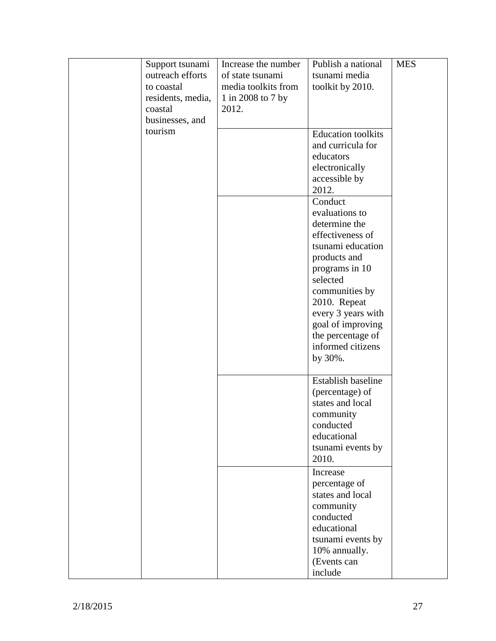|  | Support tsunami<br>outreach efforts<br>to coastal<br>residents, media,<br>coastal | Increase the number<br>of state tsunami<br>media toolkits from<br>1 in 2008 to 7 by<br>2012. | Publish a national<br>tsunami media<br>toolkit by 2010.                                                                                                                                                                                                             | <b>MES</b> |
|--|-----------------------------------------------------------------------------------|----------------------------------------------------------------------------------------------|---------------------------------------------------------------------------------------------------------------------------------------------------------------------------------------------------------------------------------------------------------------------|------------|
|  | businesses, and<br>tourism                                                        |                                                                                              | <b>Education</b> toolkits<br>and curricula for<br>educators<br>electronically<br>accessible by<br>2012.                                                                                                                                                             |            |
|  |                                                                                   |                                                                                              | Conduct<br>evaluations to<br>determine the<br>effectiveness of<br>tsunami education<br>products and<br>programs in 10<br>selected<br>communities by<br>2010. Repeat<br>every 3 years with<br>goal of improving<br>the percentage of<br>informed citizens<br>by 30%. |            |
|  |                                                                                   |                                                                                              | Establish baseline<br>(percentage) of<br>states and local<br>community<br>conducted<br>educational<br>tsunami events by<br>2010.                                                                                                                                    |            |
|  |                                                                                   |                                                                                              | Increase<br>percentage of<br>states and local<br>community<br>conducted<br>educational<br>tsunami events by<br>10% annually.<br>(Events can<br>include                                                                                                              |            |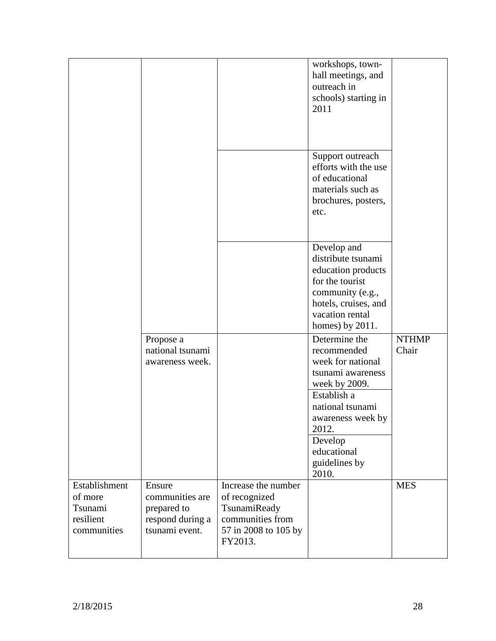|                                                                 |                                                                                |                                                                                                             | workshops, town-<br>hall meetings, and<br>outreach in<br>schools) starting in<br>2011                                                                                                                        |                       |
|-----------------------------------------------------------------|--------------------------------------------------------------------------------|-------------------------------------------------------------------------------------------------------------|--------------------------------------------------------------------------------------------------------------------------------------------------------------------------------------------------------------|-----------------------|
|                                                                 |                                                                                |                                                                                                             | Support outreach<br>efforts with the use<br>of educational<br>materials such as<br>brochures, posters,<br>etc.                                                                                               |                       |
|                                                                 |                                                                                |                                                                                                             | Develop and<br>distribute tsunami<br>education products<br>for the tourist<br>community (e.g.,<br>hotels, cruises, and<br>vacation rental<br>homes) by 2011.                                                 |                       |
|                                                                 | Propose a<br>national tsunami<br>awareness week.                               |                                                                                                             | Determine the<br>recommended<br>week for national<br>tsunami awareness<br>week by 2009.<br>Establish a<br>national tsunami<br>awareness week by<br>2012.<br>Develop<br>educational<br>guidelines by<br>2010. | <b>NTHMP</b><br>Chair |
| Establishment<br>of more<br>Tsunami<br>resilient<br>communities | Ensure<br>communities are<br>prepared to<br>respond during a<br>tsunami event. | Increase the number<br>of recognized<br>TsunamiReady<br>communities from<br>57 in 2008 to 105 by<br>FY2013. |                                                                                                                                                                                                              | <b>MES</b>            |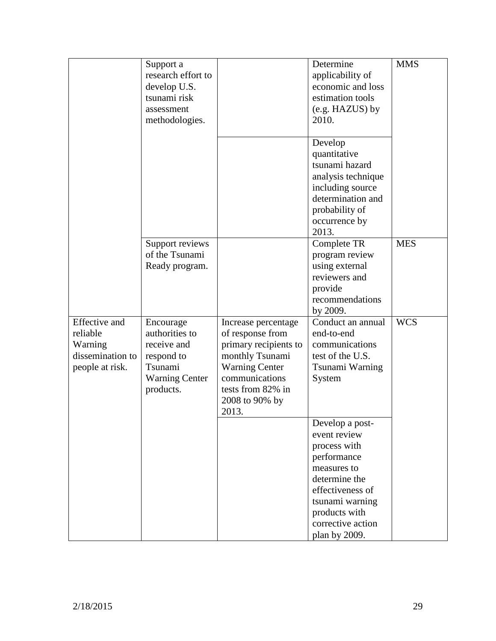|                                                                                    | Support a<br>research effort to<br>develop U.S.<br>tsunami risk<br>assessment<br>methodologies.           |                                                                                                                                                                                | Determine<br>applicability of<br>economic and loss<br>estimation tools<br>(e.g. HAZUS) by<br>2010.                                                                                           | <b>MMS</b> |
|------------------------------------------------------------------------------------|-----------------------------------------------------------------------------------------------------------|--------------------------------------------------------------------------------------------------------------------------------------------------------------------------------|----------------------------------------------------------------------------------------------------------------------------------------------------------------------------------------------|------------|
|                                                                                    |                                                                                                           |                                                                                                                                                                                | Develop<br>quantitative<br>tsunami hazard<br>analysis technique<br>including source<br>determination and<br>probability of<br>occurrence by<br>2013.                                         |            |
|                                                                                    | Support reviews<br>of the Tsunami<br>Ready program.                                                       |                                                                                                                                                                                | Complete TR<br>program review<br>using external<br>reviewers and<br>provide<br>recommendations<br>by 2009.                                                                                   | <b>MES</b> |
| <b>Effective</b> and<br>reliable<br>Warning<br>dissemination to<br>people at risk. | Encourage<br>authorities to<br>receive and<br>respond to<br>Tsunami<br><b>Warning Center</b><br>products. | Increase percentage<br>of response from<br>primary recipients to<br>monthly Tsunami<br><b>Warning Center</b><br>communications<br>tests from 82% in<br>2008 to 90% by<br>2013. | Conduct an annual<br>end-to-end<br>communications<br>test of the U.S.<br>Tsunami Warning<br>System                                                                                           | <b>WCS</b> |
|                                                                                    |                                                                                                           |                                                                                                                                                                                | Develop a post-<br>event review<br>process with<br>performance<br>measures to<br>determine the<br>effectiveness of<br>tsunami warning<br>products with<br>corrective action<br>plan by 2009. |            |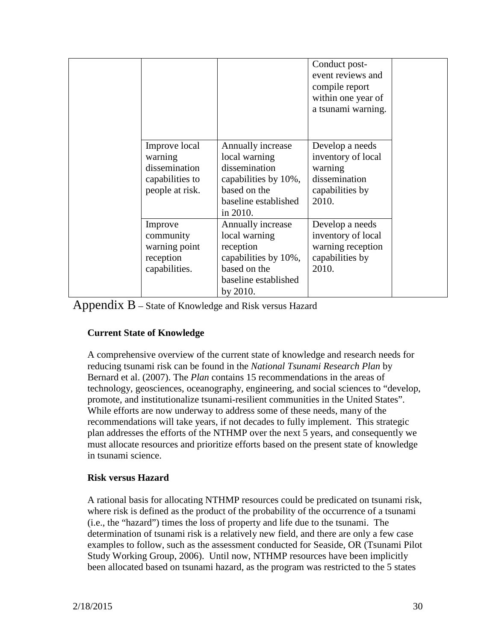|                                                                                 |                                                                                                                                 | Conduct post-<br>event reviews and<br>compile report<br>within one year of<br>a tsunami warning. |  |
|---------------------------------------------------------------------------------|---------------------------------------------------------------------------------------------------------------------------------|--------------------------------------------------------------------------------------------------|--|
| Improve local<br>warning<br>dissemination<br>capabilities to<br>people at risk. | Annually increase<br>local warning<br>dissemination<br>capabilities by 10%,<br>based on the<br>baseline established<br>in 2010. | Develop a needs<br>inventory of local<br>warning<br>dissemination<br>capabilities by<br>2010.    |  |
| Improve<br>community<br>warning point<br>reception<br>capabilities.             | Annually increase<br>local warning<br>reception<br>capabilities by 10%,<br>based on the<br>baseline established<br>by 2010.     | Develop a needs<br>inventory of local<br>warning reception<br>capabilities by<br>2010.           |  |

Appendix B – State of Knowledge and Risk versus Hazard

#### **Current State of Knowledge**

A comprehensive overview of the current state of knowledge and research needs for reducing tsunami risk can be found in the *National Tsunami Research Plan* by Bernard et al. (2007). The *Plan* contains 15 recommendations in the areas of technology, geosciences, oceanography, engineering, and social sciences to "develop, promote, and institutionalize tsunami-resilient communities in the United States". While efforts are now underway to address some of these needs, many of the recommendations will take years, if not decades to fully implement. This strategic plan addresses the efforts of the NTHMP over the next 5 years, and consequently we must allocate resources and prioritize efforts based on the present state of knowledge in tsunami science.

#### **Risk versus Hazard**

A rational basis for allocating NTHMP resources could be predicated on tsunami risk, where risk is defined as the product of the probability of the occurrence of a tsunami (i.e., the "hazard") times the loss of property and life due to the tsunami. The determination of tsunami risk is a relatively new field, and there are only a few case examples to follow, such as the assessment conducted for Seaside, OR (Tsunami Pilot Study Working Group, 2006). Until now, NTHMP resources have been implicitly been allocated based on tsunami hazard, as the program was restricted to the 5 states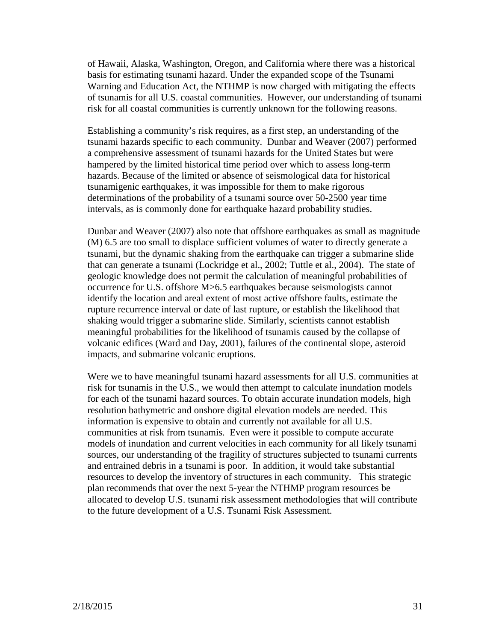of Hawaii, Alaska, Washington, Oregon, and California where there was a historical basis for estimating tsunami hazard. Under the expanded scope of the Tsunami Warning and Education Act, the NTHMP is now charged with mitigating the effects of tsunamis for all U.S. coastal communities. However, our understanding of tsunami risk for all coastal communities is currently unknown for the following reasons.

Establishing a community's risk requires, as a first step, an understanding of the tsunami hazards specific to each community. Dunbar and Weaver (2007) performed a comprehensive assessment of tsunami hazards for the United States but were hampered by the limited historical time period over which to assess long-term hazards. Because of the limited or absence of seismological data for historical tsunamigenic earthquakes, it was impossible for them to make rigorous determinations of the probability of a tsunami source over 50-2500 year time intervals, as is commonly done for earthquake hazard probability studies.

Dunbar and Weaver (2007) also note that offshore earthquakes as small as magnitude (M) 6.5 are too small to displace sufficient volumes of water to directly generate a tsunami, but the dynamic shaking from the earthquake can trigger a submarine slide that can generate a tsunami (Lockridge et al., 2002; Tuttle et al., 2004). The state of geologic knowledge does not permit the calculation of meaningful probabilities of occurrence for U.S. offshore M>6.5 earthquakes because seismologists cannot identify the location and areal extent of most active offshore faults, estimate the rupture recurrence interval or date of last rupture, or establish the likelihood that shaking would trigger a submarine slide. Similarly, scientists cannot establish meaningful probabilities for the likelihood of tsunamis caused by the collapse of volcanic edifices (Ward and Day, 2001), failures of the continental slope, asteroid impacts, and submarine volcanic eruptions.

Were we to have meaningful tsunami hazard assessments for all U.S. communities at risk for tsunamis in the U.S., we would then attempt to calculate inundation models for each of the tsunami hazard sources. To obtain accurate inundation models, high resolution bathymetric and onshore digital elevation models are needed. This information is expensive to obtain and currently not available for all U.S. communities at risk from tsunamis. Even were it possible to compute accurate models of inundation and current velocities in each community for all likely tsunami sources, our understanding of the fragility of structures subjected to tsunami currents and entrained debris in a tsunami is poor. In addition, it would take substantial resources to develop the inventory of structures in each community. This strategic plan recommends that over the next 5-year the NTHMP program resources be allocated to develop U.S. tsunami risk assessment methodologies that will contribute to the future development of a U.S. Tsunami Risk Assessment.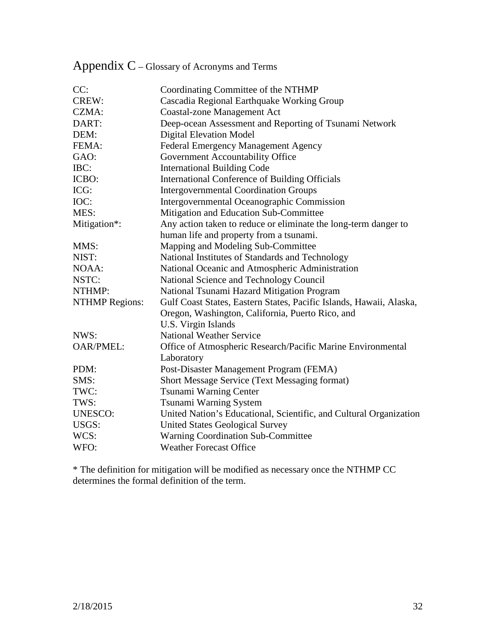| CC:                   | Coordinating Committee of the NTHMP                                 |
|-----------------------|---------------------------------------------------------------------|
| CREW:                 | Cascadia Regional Earthquake Working Group                          |
| CZMA:                 | <b>Coastal-zone Management Act</b>                                  |
| DART:                 | Deep-ocean Assessment and Reporting of Tsunami Network              |
| DEM:                  | <b>Digital Elevation Model</b>                                      |
| FEMA:                 | Federal Emergency Management Agency                                 |
| GAO:                  | Government Accountability Office                                    |
| IBC:                  | <b>International Building Code</b>                                  |
| ICBO:                 | International Conference of Building Officials                      |
| ICG:                  | <b>Intergovernmental Coordination Groups</b>                        |
| IOC:                  | Intergovernmental Oceanographic Commission                          |
| MES:                  | Mitigation and Education Sub-Committee                              |
| Mitigation*:          | Any action taken to reduce or eliminate the long-term danger to     |
|                       | human life and property from a tsunami.                             |
| MMS:                  | Mapping and Modeling Sub-Committee                                  |
| NIST:                 | National Institutes of Standards and Technology                     |
| NOAA:                 | National Oceanic and Atmospheric Administration                     |
| NSTC:                 | National Science and Technology Council                             |
| NTHMP:                | National Tsunami Hazard Mitigation Program                          |
| <b>NTHMP</b> Regions: | Gulf Coast States, Eastern States, Pacific Islands, Hawaii, Alaska, |
|                       | Oregon, Washington, California, Puerto Rico, and                    |
|                       | U.S. Virgin Islands                                                 |
| NWS:                  | <b>National Weather Service</b>                                     |
| <b>OAR/PMEL:</b>      | Office of Atmospheric Research/Pacific Marine Environmental         |
|                       | Laboratory                                                          |
| PDM:                  | Post-Disaster Management Program (FEMA)                             |
| SMS:                  | Short Message Service (Text Messaging format)                       |
| TWC:                  | Tsunami Warning Center                                              |
| TWS:                  | Tsunami Warning System                                              |
| <b>UNESCO:</b>        | United Nation's Educational, Scientific, and Cultural Organization  |
| USGS:                 | <b>United States Geological Survey</b>                              |
| WCS:                  | <b>Warning Coordination Sub-Committee</b>                           |
| WFO:                  | <b>Weather Forecast Office</b>                                      |
|                       |                                                                     |

# Appendix C – Glossary of Acronyms and Terms

\* The definition for mitigation will be modified as necessary once the NTHMP CC determines the formal definition of the term.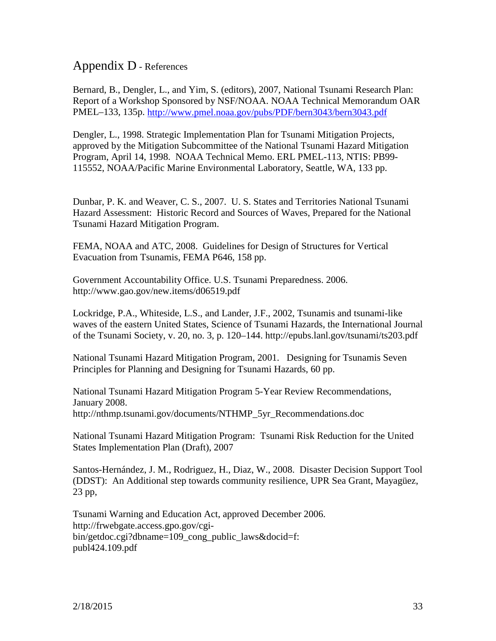### Appendix D - References

Bernard, B., Dengler, L., and Yim, S. (editors), 2007, National Tsunami Research Plan: Report of a Workshop Sponsored by NSF/NOAA. NOAA Technical Memorandum OAR PMEL–133, 135p.<http://www.pmel.noaa.gov/pubs/PDF/bern3043/bern3043.pdf>

Dengler, L., 1998. Strategic Implementation Plan for Tsunami Mitigation Projects, approved by the Mitigation Subcommittee of the National Tsunami Hazard Mitigation Program, April 14, 1998. NOAA Technical Memo. ERL PMEL-113, NTIS: PB99- 115552, NOAA/Pacific Marine Environmental Laboratory, Seattle, WA, 133 pp.

Dunbar, P. K. and Weaver, C. S., 2007. U. S. States and Territories National Tsunami Hazard Assessment: Historic Record and Sources of Waves, Prepared for the National Tsunami Hazard Mitigation Program.

FEMA, NOAA and ATC, 2008. Guidelines for Design of Structures for Vertical Evacuation from Tsunamis, FEMA P646, 158 pp.

Government Accountability Office. U.S. Tsunami Preparedness. 2006. http://www.gao.gov/new.items/d06519.pdf

Lockridge, P.A., Whiteside, L.S., and Lander, J.F., 2002, Tsunamis and tsunami-like waves of the eastern United States, Science of Tsunami Hazards, the International Journal of the Tsunami Society, v. 20, no. 3, p. 120–144. http://epubs.lanl.gov/tsunami/ts203.pdf

National Tsunami Hazard Mitigation Program, 2001. Designing for Tsunamis Seven Principles for Planning and Designing for Tsunami Hazards, 60 pp.

National Tsunami Hazard Mitigation Program 5-Year Review Recommendations, January 2008. http://nthmp.tsunami.gov/documents/NTHMP\_5yr\_Recommendations.doc

National Tsunami Hazard Mitigation Program: Tsunami Risk Reduction for the United States Implementation Plan (Draft), 2007

Santos-Hernández, J. M., Rodriguez, H., Diaz, W., 2008. Disaster Decision Support Tool (DDST): An Additional step towards community resilience, UPR Sea Grant, Mayagüez, 23 pp,

Tsunami Warning and Education Act, approved December 2006. http://frwebgate.access.gpo.gov/cgibin/getdoc.cgi?dbname=109\_cong\_public\_laws&docid=f: publ424.109.pdf